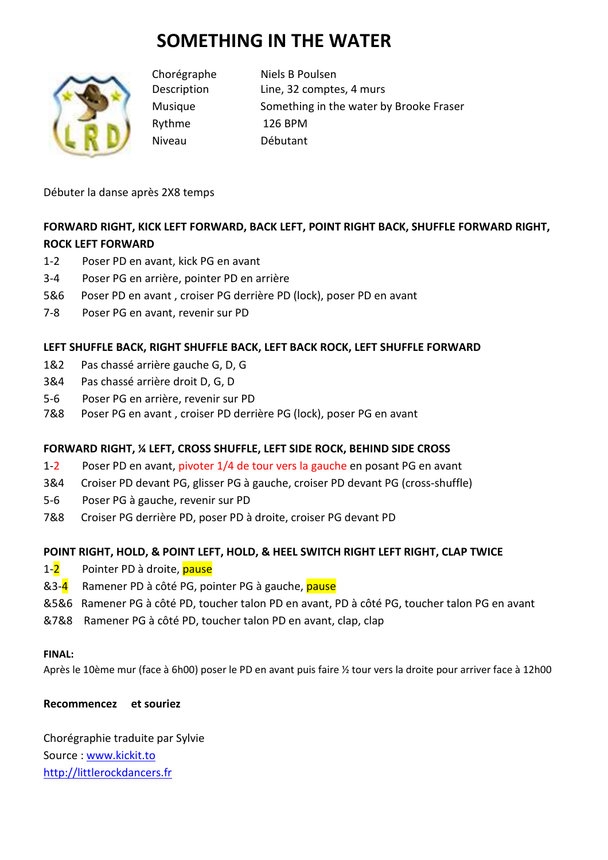# **SOMETHING IN THE WATER**



Chorégraphe Niels B Poulsen Description Line, 32 comptes, 4 murs Musique Something in the water by Brooke Fraser Rythme 126 BPM Niveau Débutant

Débuter la danse après 2X8 temps

# **FORWARD RIGHT, KICK LEFT FORWARD, BACK LEFT, POINT RIGHT BACK, SHUFFLE FORWARD RIGHT, ROCK LEFT FORWARD**

- 1-2 Poser PD en avant, kick PG en avant
- 3-4 Poser PG en arrière, pointer PD en arrière
- 5&6 Poser PD en avant , croiser PG derrière PD (lock), poser PD en avant
- 7-8 Poser PG en avant, revenir sur PD

# **LEFT SHUFFLE BACK, RIGHT SHUFFLE BACK, LEFT BACK ROCK, LEFT SHUFFLE FORWARD**

- 1&2 Pas chassé arrière gauche G, D, G
- 3&4 Pas chassé arrière droit D, G, D
- 5-6 Poser PG en arrière, revenir sur PD
- 7&8 Poser PG en avant , croiser PD derrière PG (lock), poser PG en avant

## **FORWARD RIGHT, ¼ LEFT, CROSS SHUFFLE, LEFT SIDE ROCK, BEHIND SIDE CROSS**

- 1-2 Poser PD en avant, pivoter 1/4 de tour vers la gauche en posant PG en avant
- 3&4 Croiser PD devant PG, glisser PG à gauche, croiser PD devant PG (cross-shuffle)
- 5-6 Poser PG à gauche, revenir sur PD
- 7&8 Croiser PG derrière PD, poser PD à droite, croiser PG devant PD

# **POINT RIGHT, HOLD, & POINT LEFT, HOLD, & HEEL SWITCH RIGHT LEFT RIGHT, CLAP TWICE**

- 1-2 Pointer PD à droite, pause
- &3-4 Ramener PD à côté PG, pointer PG à gauche, pause
- &5&6 Ramener PG à côté PD, toucher talon PD en avant, PD à côté PG, toucher talon PG en avant
- &7&8 Ramener PG à côté PD, toucher talon PD en avant, clap, clap

## **FINAL:**

Après le 10ème mur (face à 6h00) poser le PD en avant puis faire ½ tour vers la droite pour arriver face à 12h00

## **Recommencez et souriez**

Chorégraphie traduite par Sylvie Source : www.kickit.to http://littlerockdancers.fr